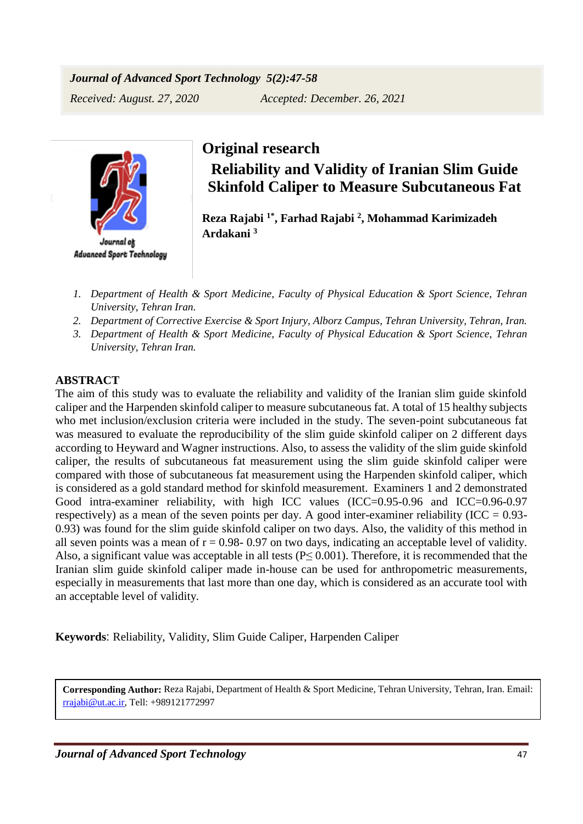## *Journal of Advanced Sport Technology 5(2):47-58*

*Received: August. 27, 2020 Accepted: December. 26, 2021*



**Advanced Sport Technology** 

## **Original research**

**Reliability and Validity of Iranian Slim Guide Skinfold Caliper to Measure Subcutaneous Fat**

**Reza Rajabi 1\*, Farhad Rajabi <sup>2</sup> , Mohammad Karimizadeh Ardakani <sup>3</sup>**

- *1. Department of Health & Sport Medicine, Faculty of Physical Education & Sport Science, Tehran University, Tehran Iran.*
- *2. Department of Corrective Exercise & Sport Injury, Alborz Campus, Tehran University, Tehran, Iran.*
- *3. Department of Health & Sport Medicine, Faculty of Physical Education & Sport Science, Tehran University, Tehran Iran.*

## **ABSTRACT**

The aim of this study was to evaluate the reliability and validity of the Iranian slim guide skinfold caliper and the Harpenden skinfold caliper to measure subcutaneous fat. A total of 15 healthy subjects who met inclusion/exclusion criteria were included in the study. The seven-point subcutaneous fat was measured to evaluate the reproducibility of the slim guide skinfold caliper on 2 different days according to Heyward and Wagner instructions. Also, to assess the validity of the slim guide skinfold caliper, the results of subcutaneous fat measurement using the slim guide skinfold caliper were compared with those of subcutaneous fat measurement using the Harpenden skinfold caliper, which is considered as a gold standard method for skinfold measurement. Examiners 1 and 2 demonstrated Good intra-examiner reliability, with high ICC values (ICC=0.95-0.96 and ICC=0.96-0.97 respectively) as a mean of the seven points per day. A good inter-examiner reliability (ICC =  $0.93$ -0.93) was found for the slim guide skinfold caliper on two days. Also, the validity of this method in all seven points was a mean of  $r = 0.98 - 0.97$  on two days, indicating an acceptable level of validity. Also, a significant value was acceptable in all tests ( $P \leq 0.001$ ). Therefore, it is recommended that the Iranian slim guide skinfold caliper made in-house can be used for anthropometric measurements, especially in measurements that last more than one day, which is considered as an accurate tool with an acceptable level of validity.

**Keywords**: Reliability, Validity, Slim Guide Caliper, Harpenden Caliper

**Corresponding Author:** Reza Rajabi, Department of Health & Sport Medicine, Tehran University, Tehran, Iran. Email: [rrajabi@ut.ac.ir,](mailto:rrajabi@ut.ac.ir) Tell: +989121772997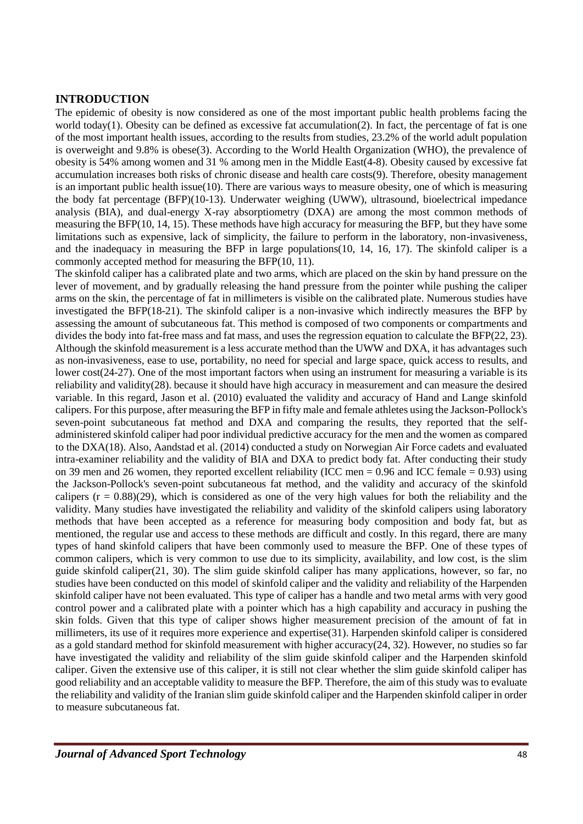#### **INTRODUCTION**

The epidemic of obesity is now considered as one of the most important public health problems facing the world today(1). Obesity can be defined as excessive fat accumulation(2). In fact, the percentage of fat is one of the most important health issues, according to the results from studies, 23.2% of the world adult population is overweight and 9.8% is obese(3). According to the World Health Organization (WHO), the prevalence of obesity is 54% among women and 31 % among men in the Middle East(4-8). Obesity caused by excessive fat accumulation increases both risks of chronic disease and health care costs(9). Therefore, obesity management is an important public health issue(10). There are various ways to measure obesity, one of which is measuring the body fat percentage (BFP)(10-13). Underwater weighing (UWW), ultrasound, bioelectrical impedance analysis (BIA), and dual-energy X-ray absorptiometry (DXA) are among the most common methods of measuring the BFP(10, 14, 15). These methods have high accuracy for measuring the BFP, but they have some limitations such as expensive, lack of simplicity, the failure to perform in the laboratory, non-invasiveness, and the inadequacy in measuring the BFP in large populations(10, 14, 16, 17). The skinfold caliper is a commonly accepted method for measuring the BFP(10, 11).

The skinfold caliper has a calibrated plate and two arms, which are placed on the skin by hand pressure on the lever of movement, and by gradually releasing the hand pressure from the pointer while pushing the caliper arms on the skin, the percentage of fat in millimeters is visible on the calibrated plate. Numerous studies have investigated the BFP(18-21). The skinfold caliper is a non-invasive which indirectly measures the BFP by assessing the amount of subcutaneous fat. This method is composed of two components or compartments and divides the body into fat-free mass and fat mass, and uses the regression equation to calculate the BFP(22, 23). Although the skinfold measurement is a less accurate method than the UWW and DXA, it has advantages such as non-invasiveness, ease to use, portability, no need for special and large space, quick access to results, and lower cost(24-27). One of the most important factors when using an instrument for measuring a variable is its reliability and validity(28). because it should have high accuracy in measurement and can measure the desired variable. In this regard, Jason et al. (2010) evaluated the validity and accuracy of Hand and Lange skinfold calipers. For this purpose, after measuring the BFP in fifty male and female athletes using the Jackson-Pollock's seven-point subcutaneous fat method and DXA and comparing the results, they reported that the selfadministered skinfold caliper had poor individual predictive accuracy for the men and the women as compared to the DXA(18). Also, Aandstad et al. (2014) conducted a study on Norwegian Air Force cadets and evaluated intra-examiner reliability and the validity of BIA and DXA to predict body fat. After conducting their study on 39 men and 26 women, they reported excellent reliability (ICC men =  $0.96$  and ICC female =  $0.93$ ) using the Jackson-Pollock's seven-point subcutaneous fat method, and the validity and accuracy of the skinfold calipers  $(r = 0.88)(29)$ , which is considered as one of the very high values for both the reliability and the validity. Many studies have investigated the reliability and validity of the skinfold calipers using laboratory methods that have been accepted as a reference for measuring body composition and body fat, but as mentioned, the regular use and access to these methods are difficult and costly. In this regard, there are many types of hand skinfold calipers that have been commonly used to measure the BFP. One of these types of common calipers, which is very common to use due to its simplicity, availability, and low cost, is the slim guide skinfold caliper(21, 30). The slim guide skinfold caliper has many applications, however, so far, no studies have been conducted on this model of skinfold caliper and the validity and reliability of the Harpenden skinfold caliper have not been evaluated. This type of caliper has a handle and two metal arms with very good control power and a calibrated plate with a pointer which has a high capability and accuracy in pushing the skin folds. Given that this type of caliper shows higher measurement precision of the amount of fat in millimeters, its use of it requires more experience and expertise(31). Harpenden skinfold caliper is considered as a gold standard method for skinfold measurement with higher accuracy(24, 32). However, no studies so far have investigated the validity and reliability of the slim guide skinfold caliper and the Harpenden skinfold caliper. Given the extensive use of this caliper, it is still not clear whether the slim guide skinfold caliper has good reliability and an acceptable validity to measure the BFP. Therefore, the aim of this study was to evaluate the reliability and validity of the Iranian slim guide skinfold caliper and the Harpenden skinfold caliper in order to measure subcutaneous fat.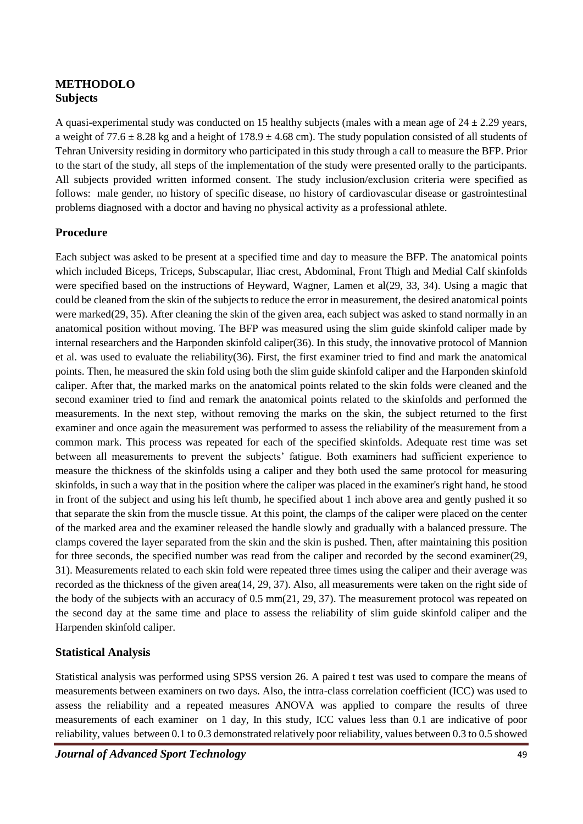### **METHODOLO Subjects**

A quasi-experimental study was conducted on 15 healthy subjects (males with a mean age of  $24 \pm 2.29$  years, a weight of 77.6  $\pm$  8.28 kg and a height of 178.9  $\pm$  4.68 cm). The study population consisted of all students of Tehran University residing in dormitory who participated in this study through a call to measure the BFP. Prior to the start of the study, all steps of the implementation of the study were presented orally to the participants. All subjects provided written informed consent. The study inclusion/exclusion criteria were specified as follows: male gender, no history of specific disease, no history of cardiovascular disease or gastrointestinal problems diagnosed with a doctor and having no physical activity as a professional athlete.

#### **Procedure**

Each subject was asked to be present at a specified time and day to measure the BFP. The anatomical points which included Biceps, Triceps, Subscapular, Iliac crest, Abdominal, Front Thigh and Medial Calf skinfolds were specified based on the instructions of Heyward, Wagner, Lamen et al(29, 33, 34). Using a magic that could be cleaned from the skin of the subjects to reduce the error in measurement, the desired anatomical points were marked(29, 35). After cleaning the skin of the given area, each subject was asked to stand normally in an anatomical position without moving. The BFP was measured using the slim guide skinfold caliper made by internal researchers and the Harponden skinfold caliper(36). In this study, the innovative protocol of Mannion et al. was used to evaluate the reliability(36). First, the first examiner tried to find and mark the anatomical points. Then, he measured the skin fold using both the slim guide skinfold caliper and the Harponden skinfold caliper. After that, the marked marks on the anatomical points related to the skin folds were cleaned and the second examiner tried to find and remark the anatomical points related to the skinfolds and performed the measurements. In the next step, without removing the marks on the skin, the subject returned to the first examiner and once again the measurement was performed to assess the reliability of the measurement from a common mark. This process was repeated for each of the specified skinfolds. Adequate rest time was set between all measurements to prevent the subjects' fatigue. Both examiners had sufficient experience to measure the thickness of the skinfolds using a caliper and they both used the same protocol for measuring skinfolds, in such a way that in the position where the caliper was placed in the examiner's right hand, he stood in front of the subject and using his left thumb, he specified about 1 inch above area and gently pushed it so that separate the skin from the muscle tissue. At this point, the clamps of the caliper were placed on the center of the marked area and the examiner released the handle slowly and gradually with a balanced pressure. The clamps covered the layer separated from the skin and the skin is pushed. Then, after maintaining this position for three seconds, the specified number was read from the caliper and recorded by the second examiner(29, 31). Measurements related to each skin fold were repeated three times using the caliper and their average was recorded as the thickness of the given area(14, 29, 37). Also, all measurements were taken on the right side of the body of the subjects with an accuracy of 0.5 mm(21, 29, 37). The measurement protocol was repeated on the second day at the same time and place to assess the reliability of slim guide skinfold caliper and the Harpenden skinfold caliper.

#### **Statistical Analysis**

Statistical analysis was performed using SPSS version 26. A paired t test was used to compare the means of measurements between examiners on two days. Also, the intra-class correlation coefficient (ICC) was used to assess the reliability and a repeated measures ANOVA was applied to compare the results of three measurements of each examiner on 1 day, In this study, ICC values less than 0.1 are indicative of poor reliability, values between 0.1 to 0.3 demonstrated relatively poor reliability, values between 0.3 to 0.5 showed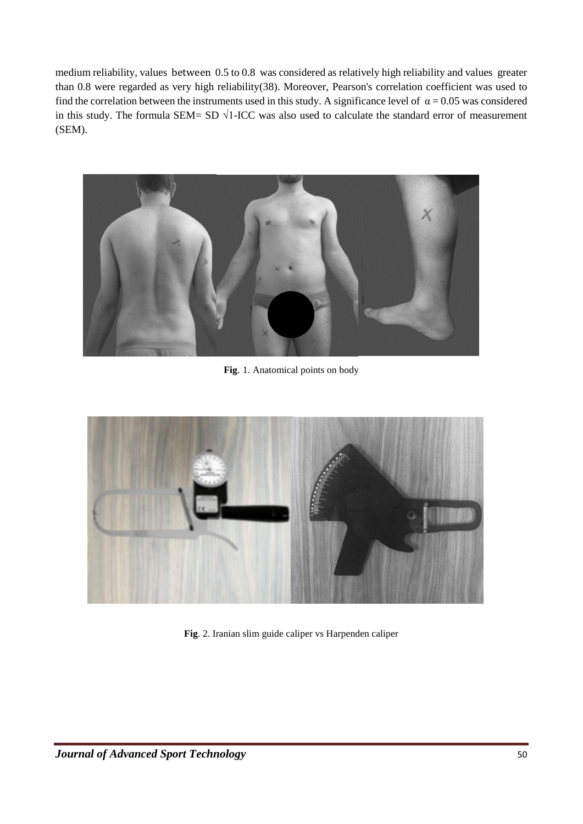medium reliability, values between 0.5 to 0.8 was considered as relatively high reliability and values greater than 0.8 were regarded as very high reliability(38). Moreover, Pearson's correlation coefficient was used to find the correlation between the instruments used in this study. A significance level of  $\alpha = 0.05$  was considered in this study. The formula SEM= SD  $\sqrt{1-ICC}$  was also used to calculate the standard error of measurement (SEM).



**Fig**. 1. Anatomical points on body



**Fig**. 2. Iranian slim guide caliper vs Harpenden caliper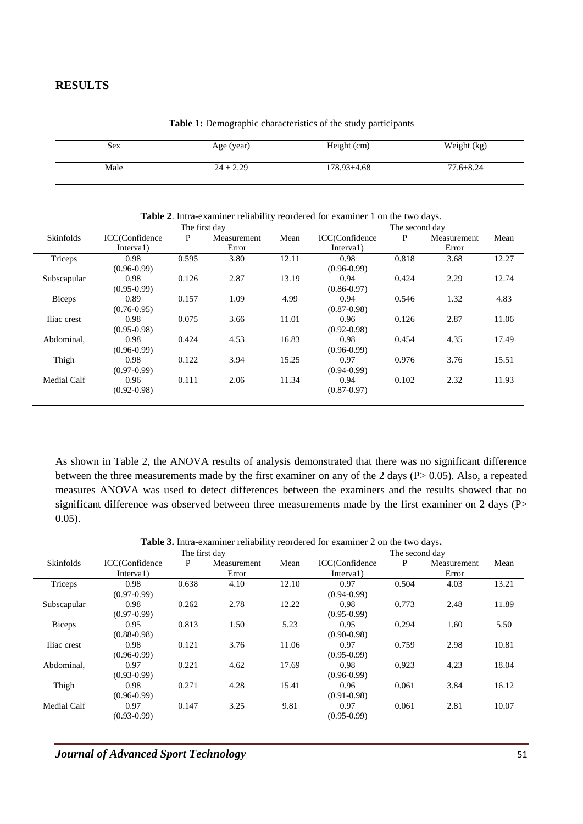#### **RESULTS**

| Sex  | Age (year)    | Height (cm)       | Weight (kg)     |
|------|---------------|-------------------|-----------------|
|      |               |                   |                 |
| Male | $24 \pm 2.29$ | $178.93 \pm 4.68$ | $77.6 \pm 8.24$ |
|      |               |                   |                 |

**Table 1:** Demographic characteristics of the study participants

| <b>Table 2.</b> Intra-examiner reliability reordered for examiner 1 on the two days. |                 |       |             |       |                 |                |             |       |
|--------------------------------------------------------------------------------------|-----------------|-------|-------------|-------|-----------------|----------------|-------------|-------|
|                                                                                      | The first day   |       |             |       |                 | The second day |             |       |
| Skinfolds                                                                            | ICC(Confidence  | P     | Measurement | Mean  | ICC(Confidence  | P              | Measurement | Mean  |
|                                                                                      | Interval)       |       | Error       |       | Interval)       |                | Error       |       |
| Triceps                                                                              | 0.98            | 0.595 | 3.80        | 12.11 | 0.98            | 0.818          | 3.68        | 12.27 |
|                                                                                      | $(0.96 - 0.99)$ |       |             |       | $(0.96 - 0.99)$ |                |             |       |
| Subscapular                                                                          | 0.98            | 0.126 | 2.87        | 13.19 | 0.94            | 0.424          | 2.29        | 12.74 |
|                                                                                      | $(0.95 - 0.99)$ |       |             |       | $(0.86 - 0.97)$ |                |             |       |
| <b>Biceps</b>                                                                        | 0.89            | 0.157 | 1.09        | 4.99  | 0.94            | 0.546          | 1.32        | 4.83  |
|                                                                                      | $(0.76 - 0.95)$ |       |             |       | $(0.87 - 0.98)$ |                |             |       |
| Iliac crest                                                                          | 0.98            | 0.075 | 3.66        | 11.01 | 0.96            | 0.126          | 2.87        | 11.06 |
|                                                                                      | $(0.95 - 0.98)$ |       |             |       | $(0.92 - 0.98)$ |                |             |       |
| Abdominal.                                                                           | 0.98            | 0.424 | 4.53        | 16.83 | 0.98            | 0.454          | 4.35        | 17.49 |
|                                                                                      | $(0.96 - 0.99)$ |       |             |       | $(0.96 - 0.99)$ |                |             |       |
| Thigh                                                                                | 0.98            | 0.122 | 3.94        | 15.25 | 0.97            | 0.976          | 3.76        | 15.51 |
|                                                                                      | $(0.97 - 0.99)$ |       |             |       | $(0.94 - 0.99)$ |                |             |       |
| <b>Medial Calf</b>                                                                   | 0.96            | 0.111 | 2.06        | 11.34 | 0.94            | 0.102          | 2.32        | 11.93 |
|                                                                                      | $(0.92 - 0.98)$ |       |             |       | $(0.87 - 0.97)$ |                |             |       |
|                                                                                      |                 |       |             |       |                 |                |             |       |

As shown in Table 2, the ANOVA results of analysis demonstrated that there was no significant difference between the three measurements made by the first examiner on any of the 2 days (P> 0.05). Also, a repeated measures ANOVA was used to detect differences between the examiners and the results showed that no significant difference was observed between three measurements made by the first examiner on 2 days (P> 0.05).

| <b>Table 3.</b> Intra-examiner reliability reordered for examiner 2 on the two days. |
|--------------------------------------------------------------------------------------|
|--------------------------------------------------------------------------------------|

|                    |                 | The first day | The second day |       |                 |       |             |       |
|--------------------|-----------------|---------------|----------------|-------|-----------------|-------|-------------|-------|
| <b>Skinfolds</b>   | ICC(Confidence  | P             | Measurement    | Mean  | ICC(Confidence  | P     | Measurement | Mean  |
|                    | Interval)       |               | Error          |       | Interval)       |       | Error       |       |
| Triceps            | 0.98            | 0.638         | 4.10           | 12.10 | 0.97            | 0.504 | 4.03        | 13.21 |
|                    | $(0.97-0.99)$   |               |                |       | $(0.94 - 0.99)$ |       |             |       |
| Subscapular        | 0.98            | 0.262         | 2.78           | 12.22 | 0.98            | 0.773 | 2.48        | 11.89 |
|                    | $(0.97-0.99)$   |               |                |       | $(0.95 - 0.99)$ |       |             |       |
| <b>Biceps</b>      | 0.95            | 0.813         | 1.50           | 5.23  | 0.95            | 0.294 | 1.60        | 5.50  |
|                    | $(0.88 - 0.98)$ |               |                |       | $(0.90 - 0.98)$ |       |             |       |
| Iliac crest        | 0.98            | 0.121         | 3.76           | 11.06 | 0.97            | 0.759 | 2.98        | 10.81 |
|                    | $(0.96 - 0.99)$ |               |                |       | $(0.95 - 0.99)$ |       |             |       |
| Abdominal,         | 0.97            | 0.221         | 4.62           | 17.69 | 0.98            | 0.923 | 4.23        | 18.04 |
|                    | $(0.93 - 0.99)$ |               |                |       | $(0.96 - 0.99)$ |       |             |       |
| Thigh              | 0.98            | 0.271         | 4.28           | 15.41 | 0.96            | 0.061 | 3.84        | 16.12 |
|                    | $(0.96 - 0.99)$ |               |                |       | $(0.91 - 0.98)$ |       |             |       |
| <b>Medial Calf</b> | 0.97            | 0.147         | 3.25           | 9.81  | 0.97            | 0.061 | 2.81        | 10.07 |
|                    | $(0.93 - 0.99)$ |               |                |       | $(0.95 - 0.99)$ |       |             |       |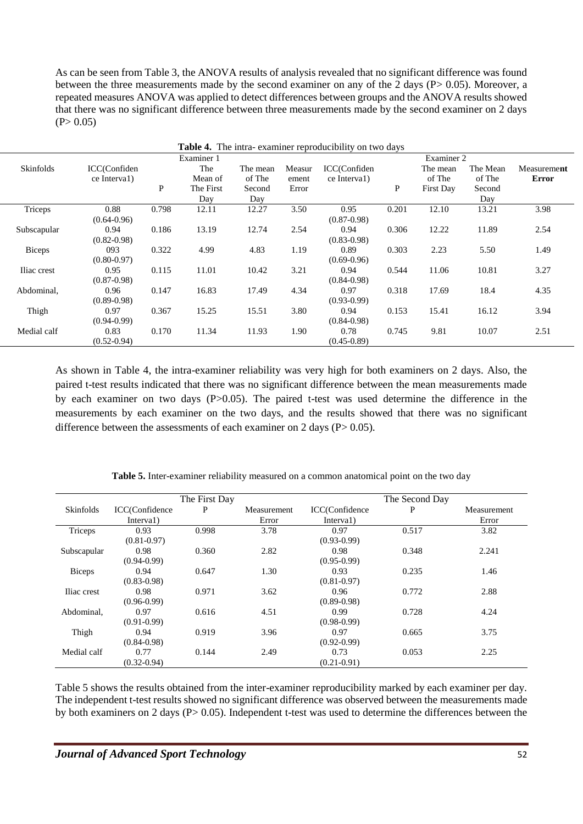As can be seen from Table 3, the ANOVA results of analysis revealed that no significant difference was found between the three measurements made by the second examiner on any of the 2 days ( $P > 0.05$ ). Moreover, a repeated measures ANOVA was applied to detect differences between groups and the ANOVA results showed that there was no significant difference between three measurements made by the second examiner on 2 days  $(P> 0.05)$ 

| <b>Table 4.</b> The intra-examiner reproducibility on two days |                 |              |            |          |        |                 |       |                  |          |              |
|----------------------------------------------------------------|-----------------|--------------|------------|----------|--------|-----------------|-------|------------------|----------|--------------|
|                                                                |                 |              | Examiner 1 |          |        |                 |       | Examiner 2       |          |              |
| Skinfolds                                                      | ICC(Confiden    |              | The        | The mean | Measur | ICC(Confiden    |       | The mean         | The Mean | Measurement  |
|                                                                | ce Interval)    |              | Mean of    | of The   | ement  | ce Interval)    |       | of The           | of The   | <b>Error</b> |
|                                                                |                 | $\mathbf{P}$ | The First  | Second   | Error  |                 | P     | <b>First Day</b> | Second   |              |
|                                                                |                 |              | Day        | Day      |        |                 |       |                  | Day      |              |
| Triceps                                                        | 0.88            | 0.798        | 12.11      | 12.27    | 3.50   | 0.95            | 0.201 | 12.10            | 13.21    | 3.98         |
|                                                                | $(0.64 - 0.96)$ |              |            |          |        | $(0.87 - 0.98)$ |       |                  |          |              |
| Subscapular                                                    | 0.94            | 0.186        | 13.19      | 12.74    | 2.54   | 0.94            | 0.306 | 12.22            | 11.89    | 2.54         |
|                                                                | $(0.82 - 0.98)$ |              |            |          |        | $(0.83 - 0.98)$ |       |                  |          |              |
| <b>Biceps</b>                                                  | 093             | 0.322        | 4.99       | 4.83     | 1.19   | 0.89            | 0.303 | 2.23             | 5.50     | 1.49         |
|                                                                | $(0.80 - 0.97)$ |              |            |          |        | $(0.69 - 0.96)$ |       |                  |          |              |
| Iliac crest                                                    | 0.95            | 0.115        | 11.01      | 10.42    | 3.21   | 0.94            | 0.544 | 11.06            | 10.81    | 3.27         |
|                                                                | $(0.87 - 0.98)$ |              |            |          |        | $(0.84 - 0.98)$ |       |                  |          |              |
| Abdominal,                                                     | 0.96            | 0.147        | 16.83      | 17.49    | 4.34   | 0.97            | 0.318 | 17.69            | 18.4     | 4.35         |
|                                                                | $(0.89 - 0.98)$ |              |            |          |        | $(0.93 - 0.99)$ |       |                  |          |              |
| Thigh                                                          | 0.97            | 0.367        | 15.25      | 15.51    | 3.80   | 0.94            | 0.153 | 15.41            | 16.12    | 3.94         |
|                                                                | $(0.94 - 0.99)$ |              |            |          |        | $(0.84 - 0.98)$ |       |                  |          |              |
| Medial calf                                                    | 0.83            | 0.170        | 11.34      | 11.93    | 1.90   | 0.78            | 0.745 | 9.81             | 10.07    | 2.51         |
|                                                                | $(0.52 - 0.94)$ |              |            |          |        | $(0.45 - 0.89)$ |       |                  |          |              |

As shown in Table 4, the intra-examiner reliability was very high for both examiners on 2 days. Also, the paired t-test results indicated that there was no significant difference between the mean measurements made by each examiner on two days (P>0.05). The paired t-test was used determine the difference in the measurements by each examiner on the two days, and the results showed that there was no significant difference between the assessments of each examiner on 2 days ( $P > 0.05$ ).

|               |                 | The First Day |             |                 | The Second Day |             |
|---------------|-----------------|---------------|-------------|-----------------|----------------|-------------|
| Skinfolds     | ICC(Confidence  | P             | Measurement | ICC(Confidence  | P              | Measurement |
|               | Interval)       |               | Error       | Interval)       |                | Error       |
| Triceps       | 0.93            | 0.998         | 3.78        | 0.97            | 0.517          | 3.82        |
|               | $(0.81 - 0.97)$ |               |             | $(0.93 - 0.99)$ |                |             |
| Subscapular   | 0.98            | 0.360         | 2.82        | 0.98            | 0.348          | 2.241       |
|               | $(0.94 - 0.99)$ |               |             | $(0.95 - 0.99)$ |                |             |
| <b>Biceps</b> | 0.94            | 0.647         | 1.30        | 0.93            | 0.235          | 1.46        |
|               | $(0.83 - 0.98)$ |               |             | $(0.81 - 0.97)$ |                |             |
| Iliac crest   | 0.98            | 0.971         | 3.62        | 0.96            | 0.772          | 2.88        |
|               | $(0.96 - 0.99)$ |               |             | $(0.89 - 0.98)$ |                |             |
| Abdominal,    | 0.97            | 0.616         | 4.51        | 0.99            | 0.728          | 4.24        |
|               | $(0.91 - 0.99)$ |               |             | $(0.98 - 0.99)$ |                |             |
| Thigh         | 0.94            | 0.919         | 3.96        | 0.97            | 0.665          | 3.75        |
|               | $(0.84 - 0.98)$ |               |             | $(0.92 - 0.99)$ |                |             |
| Medial calf   | 0.77            | 0.144         | 2.49        | 0.73            | 0.053          | 2.25        |
|               | $(0.32 - 0.94)$ |               |             | $(0.21 - 0.91)$ |                |             |

**Table 5.** Inter-examiner reliability measured on a common anatomical point on the two day

Table 5 shows the results obtained from the inter-examiner reproducibility marked by each examiner per day. The independent t-test results showed no significant difference was observed between the measurements made by both examiners on 2 days (P> 0.05). Independent t-test was used to determine the differences between the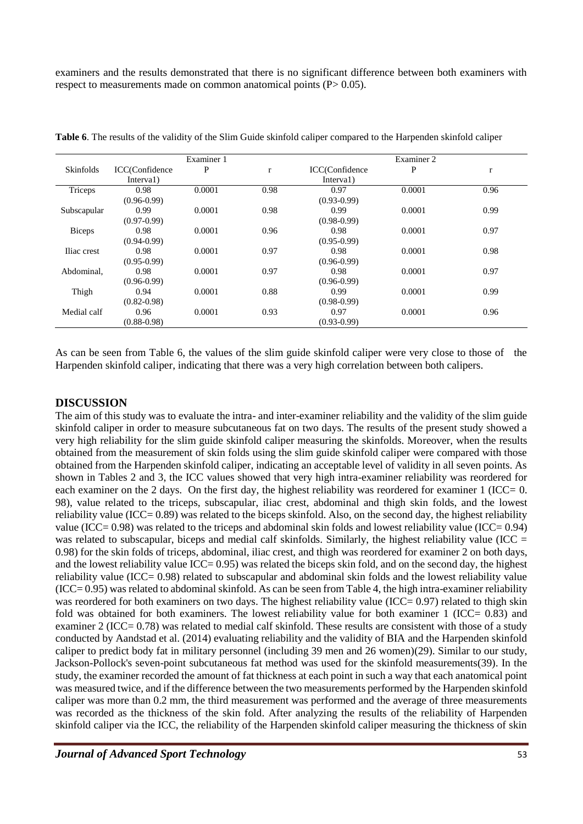examiners and the results demonstrated that there is no significant difference between both examiners with respect to measurements made on common anatomical points  $(P> 0.05)$ .

|                  |                 | Examiner 1 |              |                 | Examiner 2 |      |
|------------------|-----------------|------------|--------------|-----------------|------------|------|
| <b>Skinfolds</b> | ICC(Confidence  | P          | $\mathbf{r}$ | ICC(Confidence  | P          | r    |
|                  | Interval)       |            |              | Interval)       |            |      |
| Triceps          | 0.98            | 0.0001     | 0.98         | 0.97            | 0.0001     | 0.96 |
|                  | $(0.96 - 0.99)$ |            |              | $(0.93 - 0.99)$ |            |      |
| Subscapular      | 0.99            | 0.0001     | 0.98         | 0.99            | 0.0001     | 0.99 |
|                  | $(0.97 - 0.99)$ |            |              | $(0.98 - 0.99)$ |            |      |
| <b>Biceps</b>    | 0.98            | 0.0001     | 0.96         | 0.98            | 0.0001     | 0.97 |
|                  | $(0.94 - 0.99)$ |            |              | $(0.95 - 0.99)$ |            |      |
| Iliac crest      | 0.98            | 0.0001     | 0.97         | 0.98            | 0.0001     | 0.98 |
|                  | $(0.95 - 0.99)$ |            |              | $(0.96 - 0.99)$ |            |      |
| Abdominal,       | 0.98            | 0.0001     | 0.97         | 0.98            | 0.0001     | 0.97 |
|                  | $(0.96 - 0.99)$ |            |              | $(0.96 - 0.99)$ |            |      |
| Thigh            | 0.94            | 0.0001     | 0.88         | 0.99            | 0.0001     | 0.99 |
|                  | $(0.82 - 0.98)$ |            |              | $(0.98 - 0.99)$ |            |      |
| Medial calf      | 0.96            | 0.0001     | 0.93         | 0.97            | 0.0001     | 0.96 |
|                  | $(0.88 - 0.98)$ |            |              | $(0.93 - 0.99)$ |            |      |

**Table 6**. The results of the validity of the Slim Guide skinfold caliper compared to the Harpenden skinfold caliper

As can be seen from Table 6, the values of the slim guide skinfold caliper were very close to those of the Harpenden skinfold caliper, indicating that there was a very high correlation between both calipers.

#### **DISCUSSION**

The aim of this study was to evaluate the intra- and inter-examiner reliability and the validity of the slim guide skinfold caliper in order to measure subcutaneous fat on two days. The results of the present study showed a very high reliability for the slim guide skinfold caliper measuring the skinfolds. Moreover, when the results obtained from the measurement of skin folds using the slim guide skinfold caliper were compared with those obtained from the Harpenden skinfold caliper, indicating an acceptable level of validity in all seven points. As shown in Tables 2 and 3, the ICC values showed that very high intra-examiner reliability was reordered for each examiner on the 2 days. On the first day, the highest reliability was reordered for examiner 1 (ICC= 0. 98), value related to the triceps, subscapular, iliac crest, abdominal and thigh skin folds, and the lowest reliability value (ICC= 0.89) was related to the biceps skinfold. Also, on the second day, the highest reliability value (ICC=  $0.98$ ) was related to the triceps and abdominal skin folds and lowest reliability value (ICC=  $0.94$ ) was related to subscapular, biceps and medial calf skinfolds. Similarly, the highest reliability value (ICC = 0.98) for the skin folds of triceps, abdominal, iliac crest, and thigh was reordered for examiner 2 on both days, and the lowest reliability value ICC= 0.95) was related the biceps skin fold, and on the second day, the highest reliability value (ICC= 0.98) related to subscapular and abdominal skin folds and the lowest reliability value  $(ICC= 0.95)$  was related to abdominal skinfold. As can be seen from Table 4, the high intra-examiner reliability was reordered for both examiners on two days. The highest reliability value (ICC= 0.97) related to thigh skin fold was obtained for both examiners. The lowest reliability value for both examiner 1 (ICC= 0.83) and examiner 2 (ICC= 0.78) was related to medial calf skinfold. These results are consistent with those of a study conducted by Aandstad et al. (2014) evaluating reliability and the validity of BIA and the Harpenden skinfold caliper to predict body fat in military personnel (including 39 men and 26 women)(29). Similar to our study, Jackson-Pollock's seven-point subcutaneous fat method was used for the skinfold measurements(39). In the study, the examiner recorded the amount of fat thickness at each point in such a way that each anatomical point was measured twice, and if the difference between the two measurements performed by the Harpenden skinfold caliper was more than 0.2 mm, the third measurement was performed and the average of three measurements was recorded as the thickness of the skin fold. After analyzing the results of the reliability of Harpenden skinfold caliper via the ICC, the reliability of the Harpenden skinfold caliper measuring the thickness of skin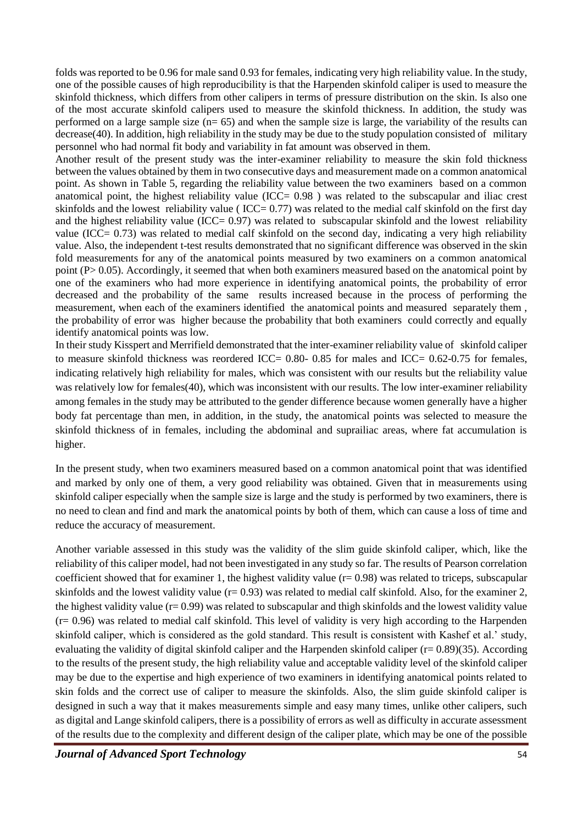folds was reported to be 0.96 for male sand 0.93 for females, indicating very high reliability value. In the study, one of the possible causes of high reproducibility is that the Harpenden skinfold caliper is used to measure the skinfold thickness, which differs from other calipers in terms of pressure distribution on the skin. Is also one of the most accurate skinfold calipers used to measure the skinfold thickness. In addition, the study was performed on a large sample size (n= 65) and when the sample size is large, the variability of the results can decrease(40). In addition, high reliability in the study may be due to the study population consisted of military personnel who had normal fit body and variability in fat amount was observed in them.

Another result of the present study was the inter-examiner reliability to measure the skin fold thickness between the values obtained by them in two consecutive days and measurement made on a common anatomical point. As shown in Table 5, regarding the reliability value between the two examiners based on a common anatomical point, the highest reliability value (ICC $= 0.98$ ) was related to the subscapular and iliac crest skinfolds and the lowest reliability value ( $\text{ICC}= 0.77$ ) was related to the medial calf skinfold on the first day and the highest reliability value (ICC $= 0.97$ ) was related to subscapular skinfold and the lowest reliability value (ICC= 0.73) was related to medial calf skinfold on the second day, indicating a very high reliability value. Also, the independent t-test results demonstrated that no significant difference was observed in the skin fold measurements for any of the anatomical points measured by two examiners on a common anatomical point (P> 0.05). Accordingly, it seemed that when both examiners measured based on the anatomical point by one of the examiners who had more experience in identifying anatomical points, the probability of error decreased and the probability of the same results increased because in the process of performing the measurement, when each of the examiners identified the anatomical points and measured separately them , the probability of error was higher because the probability that both examiners could correctly and equally identify anatomical points was low.

In their study Kisspert and Merrifield demonstrated that the inter-examiner reliability value of skinfold caliper to measure skinfold thickness was reordered ICC= 0.80- 0.85 for males and ICC= 0.62-0.75 for females, indicating relatively high reliability for males, which was consistent with our results but the reliability value was relatively low for females(40), which was inconsistent with our results. The low inter-examiner reliability among females in the study may be attributed to the gender difference because women generally have a higher body fat percentage than men, in addition, in the study, the anatomical points was selected to measure the skinfold thickness of in females, including the abdominal and suprailiac areas, where fat accumulation is higher.

In the present study, when two examiners measured based on a common anatomical point that was identified and marked by only one of them, a very good reliability was obtained. Given that in measurements using skinfold caliper especially when the sample size is large and the study is performed by two examiners, there is no need to clean and find and mark the anatomical points by both of them, which can cause a loss of time and reduce the accuracy of measurement.

Another variable assessed in this study was the validity of the slim guide skinfold caliper, which, like the reliability of this caliper model, had not been investigated in any study so far. The results of Pearson correlation coefficient showed that for examiner 1, the highest validity value  $(r= 0.98)$  was related to triceps, subscapular skinfolds and the lowest validity value ( $r= 0.93$ ) was related to medial calf skinfold. Also, for the examiner 2, the highest validity value  $(r= 0.99)$  was related to subscapular and thigh skinfolds and the lowest validity value  $(r= 0.96)$  was related to medial calf skinfold. This level of validity is very high according to the Harpenden skinfold caliper, which is considered as the gold standard. This result is consistent with Kashef et al.' study, evaluating the validity of digital skinfold caliper and the Harpenden skinfold caliper (r= 0.89)(35). According to the results of the present study, the high reliability value and acceptable validity level of the skinfold caliper may be due to the expertise and high experience of two examiners in identifying anatomical points related to skin folds and the correct use of caliper to measure the skinfolds. Also, the slim guide skinfold caliper is designed in such a way that it makes measurements simple and easy many times, unlike other calipers, such as digital and Lange skinfold calipers, there is a possibility of errors as well as difficulty in accurate assessment of the results due to the complexity and different design of the caliper plate, which may be one of the possible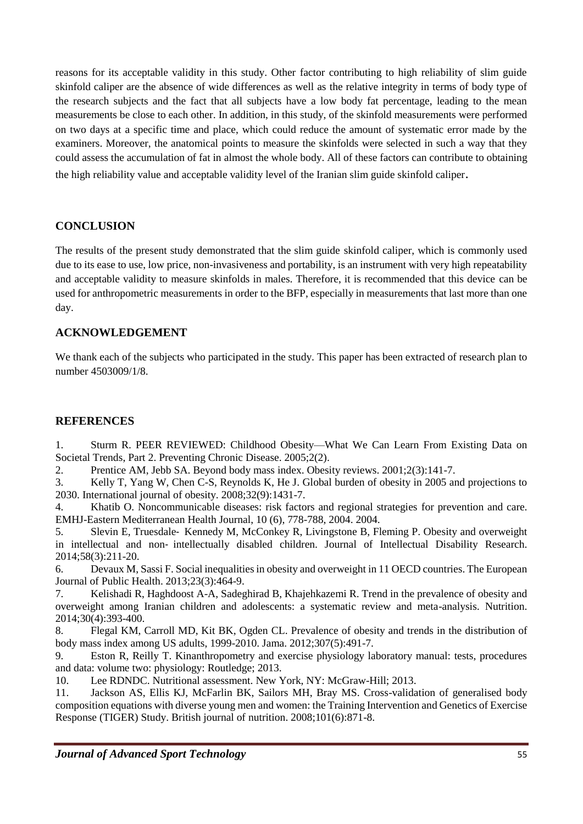reasons for its acceptable validity in this study. Other factor contributing to high reliability of slim guide skinfold caliper are the absence of wide differences as well as the relative integrity in terms of body type of the research subjects and the fact that all subjects have a low body fat percentage, leading to the mean measurements be close to each other. In addition, in this study, of the skinfold measurements were performed on two days at a specific time and place, which could reduce the amount of systematic error made by the examiners. Moreover, the anatomical points to measure the skinfolds were selected in such a way that they could assess the accumulation of fat in almost the whole body. All of these factors can contribute to obtaining the high reliability value and acceptable validity level of the Iranian slim guide skinfold caliper.

#### **CONCLUSION**

The results of the present study demonstrated that the slim guide skinfold caliper, which is commonly used due to its ease to use, low price, non-invasiveness and portability, is an instrument with very high repeatability and acceptable validity to measure skinfolds in males. Therefore, it is recommended that this device can be used for anthropometric measurements in order to the BFP, especially in measurements that last more than one day.

#### **ACKNOWLEDGEMENT**

We thank each of the subjects who participated in the study. This paper has been extracted of research plan to number 4503009/1/8.

#### **REFERENCES**

1. Sturm R. PEER REVIEWED: Childhood Obesity—What We Can Learn From Existing Data on Societal Trends, Part 2. Preventing Chronic Disease. 2005;2(2).

2. Prentice AM, Jebb SA. Beyond body mass index. Obesity reviews. 2001;2(3):141-7.

3. Kelly T, Yang W, Chen C-S, Reynolds K, He J. Global burden of obesity in 2005 and projections to 2030. International journal of obesity. 2008;32(9):1431-7.

4. Khatib O. Noncommunicable diseases: risk factors and regional strategies for prevention and care. EMHJ-Eastern Mediterranean Health Journal, 10 (6), 778-788, 2004. 2004.

5. Slevin E, Truesdale‐ Kennedy M, McConkey R, Livingstone B, Fleming P. Obesity and overweight in intellectual and non‐ intellectually disabled children. Journal of Intellectual Disability Research. 2014;58(3):211-20.

6. Devaux M, Sassi F. Social inequalities in obesity and overweight in 11 OECD countries. The European Journal of Public Health. 2013;23(3):464-9.

7. Kelishadi R, Haghdoost A-A, Sadeghirad B, Khajehkazemi R. Trend in the prevalence of obesity and overweight among Iranian children and adolescents: a systematic review and meta-analysis. Nutrition. 2014;30(4):393-400.

8. Flegal KM, Carroll MD, Kit BK, Ogden CL. Prevalence of obesity and trends in the distribution of body mass index among US adults, 1999-2010. Jama. 2012;307(5):491-7.

9. Eston R, Reilly T. Kinanthropometry and exercise physiology laboratory manual: tests, procedures and data: volume two: physiology: Routledge; 2013.

10. Lee RDNDC. Nutritional assessment. New York, NY: McGraw-Hill; 2013.

11. Jackson AS, Ellis KJ, McFarlin BK, Sailors MH, Bray MS. Cross-validation of generalised body composition equations with diverse young men and women: the Training Intervention and Genetics of Exercise Response (TIGER) Study. British journal of nutrition. 2008;101(6):871-8.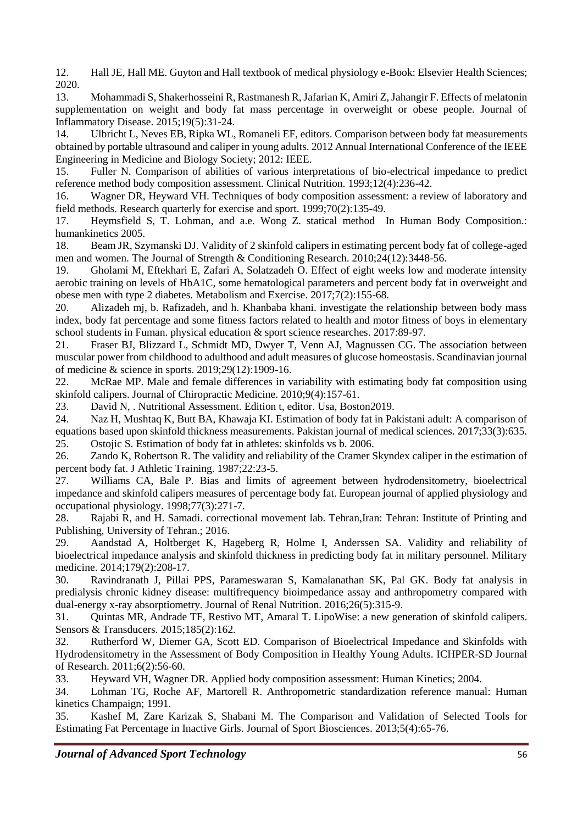12. Hall JE, Hall ME. Guyton and Hall textbook of medical physiology e-Book: Elsevier Health Sciences; 2020.

13. Mohammadi S, Shakerhosseini R, Rastmanesh R, Jafarian K, Amiri Z, Jahangir F. Effects of melatonin supplementation on weight and body fat mass percentage in overweight or obese people. Journal of Inflammatory Disease. 2015;19(5):31-24.

14. Ulbricht L, Neves EB, Ripka WL, Romaneli EF, editors. Comparison between body fat measurements obtained by portable ultrasound and caliper in young adults. 2012 Annual International Conference of the IEEE Engineering in Medicine and Biology Society; 2012: IEEE.

15. Fuller N. Comparison of abilities of various interpretations of bio-electrical impedance to predict reference method body composition assessment. Clinical Nutrition. 1993;12(4):236-42.

16. Wagner DR, Heyward VH. Techniques of body composition assessment: a review of laboratory and field methods. Research quarterly for exercise and sport. 1999;70(2):135-49.

17. Heymsfield S, T. Lohman, and a.e. Wong Z. statical method In Human Body Composition.: humankinetics 2005.

18. Beam JR, Szymanski DJ. Validity of 2 skinfold calipers in estimating percent body fat of college-aged men and women. The Journal of Strength & Conditioning Research. 2010;24(12):3448-56.

19. Gholami M, Eftekhari E, Zafari A, Solatzadeh O. Effect of eight weeks low and moderate intensity aerobic training on levels of HbA1C, some hematological parameters and percent body fat in overweight and obese men with type 2 diabetes. Metabolism and Exercise. 2017;7(2):155-68.

20. Alizadeh mj, b. Rafizadeh, and h. Khanbaba khani. investigate the relationship between body mass index, body fat percentage and some fitness factors related to health and motor fitness of boys in elementary school students in Fuman. physical education & sport science researches. 2017:89-97.

21. Fraser BJ, Blizzard L, Schmidt MD, Dwyer T, Venn AJ, Magnussen CG. The association between muscular power from childhood to adulthood and adult measures of glucose homeostasis. Scandinavian journal of medicine & science in sports. 2019;29(12):1909-16.

22. McRae MP. Male and female differences in variability with estimating body fat composition using skinfold calipers. Journal of Chiropractic Medicine. 2010;9(4):157-61.

23. David N, . Nutritional Assessment. Edition t, editor. Usa, Boston2019.

24. Naz H, Mushtaq K, Butt BA, Khawaja KI. Estimation of body fat in Pakistani adult: A comparison of equations based upon skinfold thickness measurements. Pakistan journal of medical sciences. 2017;33(3):635. 25. Ostojic S. Estimation of body fat in athletes: skinfolds vs b. 2006.

26. Zando K, Robertson R. The validity and reliability of the Cramer Skyndex caliper in the estimation of percent body fat. J Athletic Training. 1987;22:23-5.

27. Williams CA, Bale P. Bias and limits of agreement between hydrodensitometry, bioelectrical impedance and skinfold calipers measures of percentage body fat. European journal of applied physiology and occupational physiology. 1998;77(3):271-7.

28. Rajabi R, and H. Samadi. correctional movement lab. Tehran,Iran: Tehran: Institute of Printing and Publishing, University of Tehran.; 2016.

29. Aandstad A, Holtberget K, Hageberg R, Holme I, Anderssen SA. Validity and reliability of bioelectrical impedance analysis and skinfold thickness in predicting body fat in military personnel. Military medicine. 2014;179(2):208-17.

30. Ravindranath J, Pillai PPS, Parameswaran S, Kamalanathan SK, Pal GK. Body fat analysis in predialysis chronic kidney disease: multifrequency bioimpedance assay and anthropometry compared with dual-energy x-ray absorptiometry. Journal of Renal Nutrition. 2016;26(5):315-9.

31. Quintas MR, Andrade TF, Restivo MT, Amaral T. LipoWise: a new generation of skinfold calipers. Sensors & Transducers. 2015;185(2):162.

32. Rutherford W, Diemer GA, Scott ED. Comparison of Bioelectrical Impedance and Skinfolds with Hydrodensitometry in the Assessment of Body Composition in Healthy Young Adults. ICHPER-SD Journal of Research. 2011;6(2):56-60.

33. Heyward VH, Wagner DR. Applied body composition assessment: Human Kinetics; 2004.

34. Lohman TG, Roche AF, Martorell R. Anthropometric standardization reference manual: Human kinetics Champaign; 1991.

35. Kashef M, Zare Karizak S, Shabani M. The Comparison and Validation of Selected Tools for Estimating Fat Percentage in Inactive Girls. Journal of Sport Biosciences. 2013;5(4):65-76.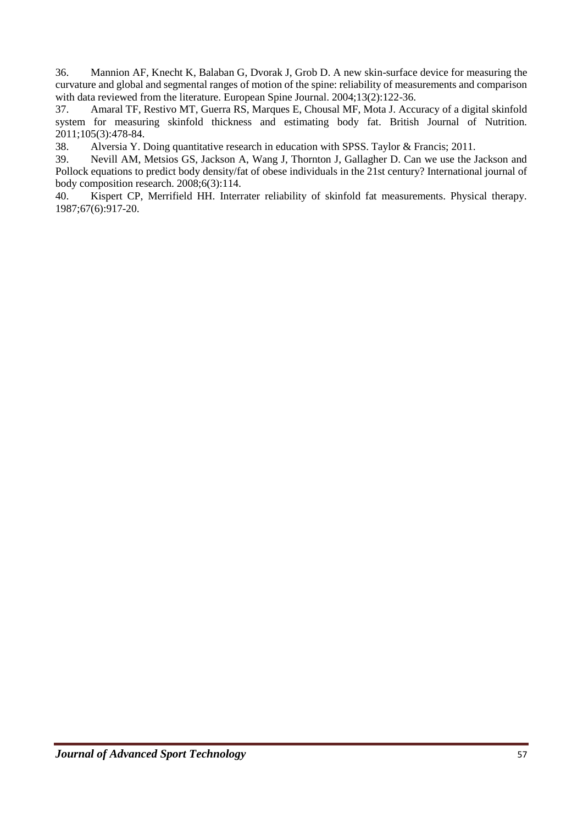36. Mannion AF, Knecht K, Balaban G, Dvorak J, Grob D. A new skin-surface device for measuring the curvature and global and segmental ranges of motion of the spine: reliability of measurements and comparison with data reviewed from the literature. European Spine Journal. 2004;13(2):122-36.

37. Amaral TF, Restivo MT, Guerra RS, Marques E, Chousal MF, Mota J. Accuracy of a digital skinfold system for measuring skinfold thickness and estimating body fat. British Journal of Nutrition. 2011;105(3):478-84.

38. Alversia Y. Doing quantitative research in education with SPSS. Taylor & Francis; 2011.

39. Nevill AM, Metsios GS, Jackson A, Wang J, Thornton J, Gallagher D. Can we use the Jackson and Pollock equations to predict body density/fat of obese individuals in the 21st century? International journal of body composition research. 2008;6(3):114.

40. Kispert CP, Merrifield HH. Interrater reliability of skinfold fat measurements. Physical therapy. 1987;67(6):917-20.